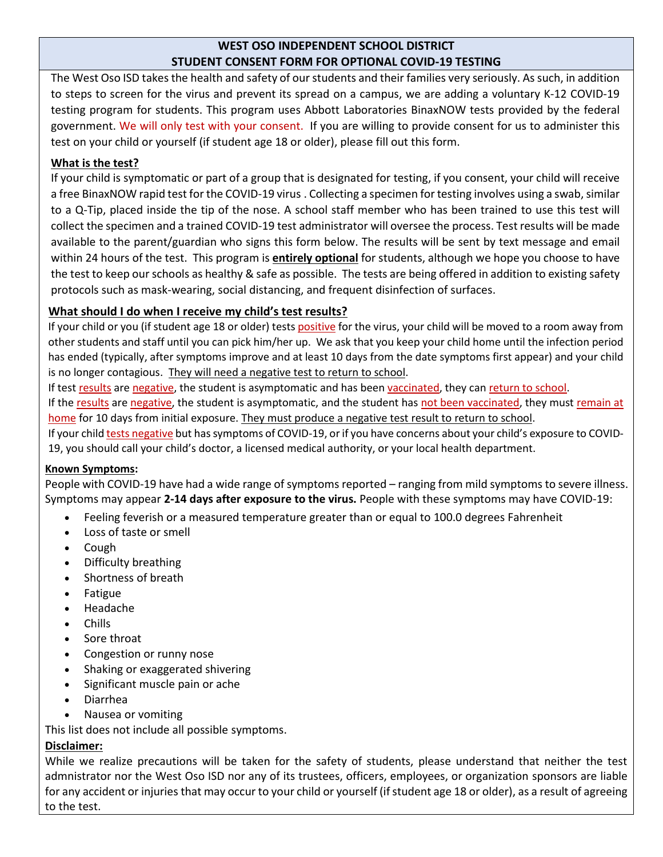#### **WEST OSO INDEPENDENT SCHOOL DISTRICT STUDENT CONSENT FORM FOR OPTIONAL COVID-19 TESTING**

The West Oso ISD takes the health and safety of our students and their families very seriously. As such, in addition to steps to screen for the virus and prevent its spread on a campus, we are adding a voluntary K-12 COVID-19 testing program for students. This program uses Abbott Laboratories BinaxNOW tests provided by the federal government. We will only test with your consent. If you are willing to provide consent for us to administer this test on your child or yourself (if student age 18 or older), please fill out this form.

## **What is the test?**

If your child is symptomatic or part of a group that is designated for testing, if you consent, your child will receive a free BinaxNOW rapid test for the COVID-19 virus . Collecting a specimen for testing involves using a swab, similar to a Q-Tip, placed inside the tip of the nose. A school staff member who has been trained to use this test will collect the specimen and a trained COVID-19 test administrator will oversee the process. Test results will be made available to the parent/guardian who signs this form below. The results will be sent by text message and email within 24 hours of the test. This program is **entirely optional** for students, although we hope you choose to have the test to keep our schools as healthy & safe as possible. The tests are being offered in addition to existing safety protocols such as mask-wearing, social distancing, and frequent disinfection of surfaces.

# **What should I do when I receive my child's test results?**

If your child or you (if student age 18 or older) tests positive for the virus, your child will be moved to a room away from other students and staff until you can pick him/her up. We ask that you keep your child home until the infection period has ended (typically, after symptoms improve and at least 10 days from the date symptoms first appear) and your child is no longer contagious. They will need a negative test to return to school.

If test results are negative, the student is asymptomatic and has been vaccinated, they can return to school.

If the results are negative, the student is asymptomatic, and the student has not been vaccinated, they must remain at home for 10 days from initial exposure. They must produce a negative test result to return to school.

If your child tests negative but has symptoms of COVID-19, or if you have concerns about your child's exposure to COVID-19, you should call your child's doctor, a licensed medical authority, or your local health department.

### **Known Symptoms:**

People with COVID-19 have had a wide range of symptoms reported – ranging from mild symptoms to severe illness. Symptoms may appear **2-14 days after exposure to the virus.** People with these symptoms may have COVID-19:

- Feeling feverish or a measured temperature greater than or equal to 100.0 degrees Fahrenheit
- Loss of taste or smell
- Cough
- Difficulty breathing
- Shortness of breath
- Fatigue
- Headache
- Chills
- Sore throat
- Congestion or runny nose
- Shaking or exaggerated shivering
- Significant muscle pain or ache
- Diarrhea
- Nausea or vomiting

This list does not include all possible symptoms.

### **Disclaimer:**

While we realize precautions will be taken for the safety of students, please understand that neither the test admnistrator nor the West Oso ISD nor any of its trustees, officers, employees, or organization sponsors are liable for any accident or injuries that may occur to your child or yourself (if student age 18 or older), as a result of agreeing to the test.